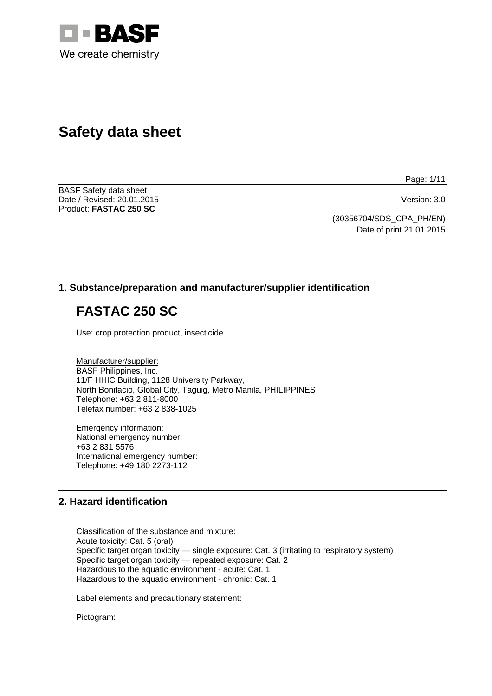

# **Safety data sheet**

Page: 1/11

BASF Safety data sheet Date / Revised: 20.01.2015 Version: 3.0 Product: **FASTAC 250 SC** 

(30356704/SDS\_CPA\_PH/EN)

Date of print 21.01.2015

# **1. Substance/preparation and manufacturer/supplier identification**

# **FASTAC 250 SC**

Use: crop protection product, insecticide

Manufacturer/supplier: BASF Philippines, Inc. 11/F HHIC Building, 1128 University Parkway, North Bonifacio, Global City, Taguig, Metro Manila, PHILIPPINES Telephone: +63 2 811-8000 Telefax number: +63 2 838-1025

Emergency information: National emergency number: +63 2 831 5576 International emergency number: Telephone: +49 180 2273-112

# **2. Hazard identification**

Classification of the substance and mixture: Acute toxicity: Cat. 5 (oral) Specific target organ toxicity — single exposure: Cat. 3 (irritating to respiratory system) Specific target organ toxicity — repeated exposure: Cat. 2 Hazardous to the aquatic environment - acute: Cat. 1 Hazardous to the aquatic environment - chronic: Cat. 1

Label elements and precautionary statement:

Pictogram: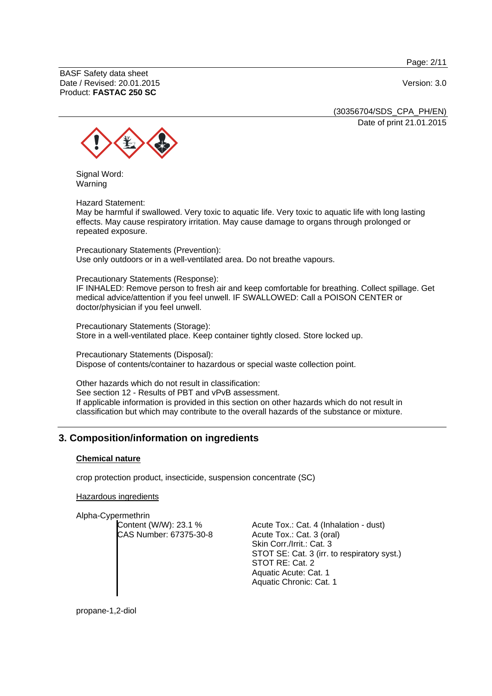Page: 2/11

BASF Safety data sheet Date / Revised: 20.01.2015 Version: 3.0 Product: **FASTAC 250 SC**

(30356704/SDS\_CPA\_PH/EN) Date of print 21.01.2015



Signal Word: Warning

Hazard Statement:

May be harmful if swallowed. Very toxic to aquatic life. Very toxic to aquatic life with long lasting effects. May cause respiratory irritation. May cause damage to organs through prolonged or repeated exposure.

Precautionary Statements (Prevention): Use only outdoors or in a well-ventilated area. Do not breathe vapours.

Precautionary Statements (Response):

IF INHALED: Remove person to fresh air and keep comfortable for breathing. Collect spillage. Get medical advice/attention if you feel unwell. IF SWALLOWED: Call a POISON CENTER or doctor/physician if you feel unwell.

Precautionary Statements (Storage): Store in a well-ventilated place. Keep container tightly closed. Store locked up.

Precautionary Statements (Disposal): Dispose of contents/container to hazardous or special waste collection point.

Other hazards which do not result in classification: See section 12 - Results of PBT and vPvB assessment. If applicable information is provided in this section on other hazards which do not result in classification but which may contribute to the overall hazards of the substance or mixture.

# **3. Composition/information on ingredients**

### **Chemical nature**

crop protection product, insecticide, suspension concentrate (SC)

Hazardous ingredients

Alpha-Cypermethrin Content (W/W): 23.1 % CAS Number: 67375-30-8

Acute Tox.: Cat. 4 (Inhalation - dust) Acute Tox.: Cat. 3 (oral) Skin Corr./Irrit.: Cat. 3 STOT SE: Cat. 3 (irr. to respiratory syst.) STOT RE: Cat. 2 Aquatic Acute: Cat. 1 Aquatic Chronic: Cat. 1

propane-1,2-diol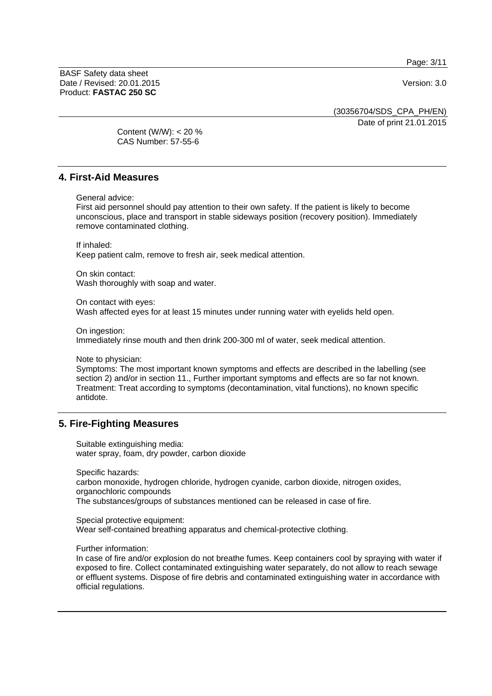Page: 3/11

BASF Safety data sheet Date / Revised: 20.01.2015 Version: 3.0 Product: **FASTAC 250 SC**

(30356704/SDS\_CPA\_PH/EN)

Date of print 21.01.2015

Content (W/W): < 20 % CAS Number: 57-55-6

# **4. First-Aid Measures**

General advice:

First aid personnel should pay attention to their own safety. If the patient is likely to become unconscious, place and transport in stable sideways position (recovery position). Immediately remove contaminated clothing.

If inhaled: Keep patient calm, remove to fresh air, seek medical attention.

On skin contact: Wash thoroughly with soap and water.

On contact with eyes:

Wash affected eyes for at least 15 minutes under running water with eyelids held open.

On ingestion:

Immediately rinse mouth and then drink 200-300 ml of water, seek medical attention.

Note to physician:

Symptoms: The most important known symptoms and effects are described in the labelling (see section 2) and/or in section 11., Further important symptoms and effects are so far not known. Treatment: Treat according to symptoms (decontamination, vital functions), no known specific antidote.

# **5. Fire-Fighting Measures**

Suitable extinguishing media: water spray, foam, dry powder, carbon dioxide

Specific hazards: carbon monoxide, hydrogen chloride, hydrogen cyanide, carbon dioxide, nitrogen oxides, organochloric compounds The substances/groups of substances mentioned can be released in case of fire.

Special protective equipment: Wear self-contained breathing apparatus and chemical-protective clothing.

Further information:

In case of fire and/or explosion do not breathe fumes. Keep containers cool by spraying with water if exposed to fire. Collect contaminated extinguishing water separately, do not allow to reach sewage or effluent systems. Dispose of fire debris and contaminated extinguishing water in accordance with official regulations.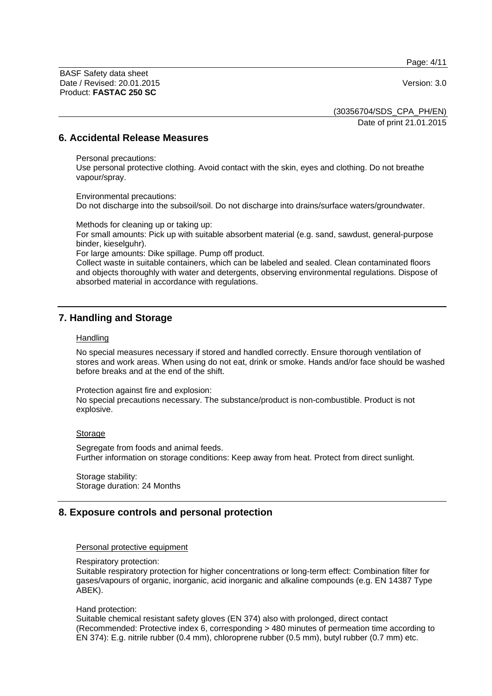Page: 4/11

BASF Safety data sheet Date / Revised: 20.01.2015 Version: 3.0 Product: **FASTAC 250 SC**

(30356704/SDS\_CPA\_PH/EN)

Date of print 21.01.2015

# **6. Accidental Release Measures**

#### Personal precautions:

Use personal protective clothing. Avoid contact with the skin, eyes and clothing. Do not breathe vapour/spray.

Environmental precautions: Do not discharge into the subsoil/soil. Do not discharge into drains/surface waters/groundwater.

Methods for cleaning up or taking up:

For small amounts: Pick up with suitable absorbent material (e.g. sand, sawdust, general-purpose binder, kieselguhr).

For large amounts: Dike spillage. Pump off product.

Collect waste in suitable containers, which can be labeled and sealed. Clean contaminated floors and objects thoroughly with water and detergents, observing environmental regulations. Dispose of absorbed material in accordance with regulations.

# **7. Handling and Storage**

#### **Handling**

No special measures necessary if stored and handled correctly. Ensure thorough ventilation of stores and work areas. When using do not eat, drink or smoke. Hands and/or face should be washed before breaks and at the end of the shift.

Protection against fire and explosion:

No special precautions necessary. The substance/product is non-combustible. Product is not explosive.

### Storage

Segregate from foods and animal feeds. Further information on storage conditions: Keep away from heat. Protect from direct sunlight.

Storage stability: Storage duration: 24 Months

# **8. Exposure controls and personal protection**

#### Personal protective equipment

#### Respiratory protection:

Suitable respiratory protection for higher concentrations or long-term effect: Combination filter for gases/vapours of organic, inorganic, acid inorganic and alkaline compounds (e.g. EN 14387 Type ABEK).

#### Hand protection:

Suitable chemical resistant safety gloves (EN 374) also with prolonged, direct contact (Recommended: Protective index 6, corresponding > 480 minutes of permeation time according to EN 374): E.g. nitrile rubber (0.4 mm), chloroprene rubber (0.5 mm), butyl rubber (0.7 mm) etc.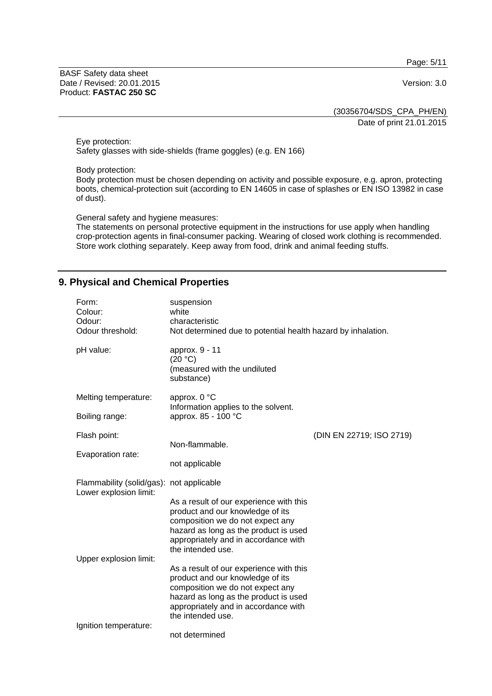Page: 5/11

BASF Safety data sheet Date / Revised: 20.01.2015 Version: 3.0 Product: **FASTAC 250 SC**

(30356704/SDS\_CPA\_PH/EN) Date of print 21.01.2015

Eye protection: Safety glasses with side-shields (frame goggles) (e.g. EN 166)

Body protection:

Body protection must be chosen depending on activity and possible exposure, e.g. apron, protecting boots, chemical-protection suit (according to EN 14605 in case of splashes or EN ISO 13982 in case of dust).

General safety and hygiene measures:

The statements on personal protective equipment in the instructions for use apply when handling crop-protection agents in final-consumer packing. Wearing of closed work clothing is recommended. Store work clothing separately. Keep away from food, drink and animal feeding stuffs.

# **9. Physical and Chemical Properties**

| Form:<br>Colour:<br>Odour:<br>Odour threshold:                     | suspension<br>white<br>characteristic<br>Not determined due to potential health hazard by inhalation.                                                                                                                 |                          |
|--------------------------------------------------------------------|-----------------------------------------------------------------------------------------------------------------------------------------------------------------------------------------------------------------------|--------------------------|
| pH value:                                                          | approx. 9 - 11<br>(20 °C)<br>(measured with the undiluted<br>substance)                                                                                                                                               |                          |
| Melting temperature:                                               | approx. 0 °C<br>Information applies to the solvent.                                                                                                                                                                   |                          |
| Boiling range:                                                     | approx. 85 - 100 °C                                                                                                                                                                                                   |                          |
| Flash point:                                                       |                                                                                                                                                                                                                       | (DIN EN 22719; ISO 2719) |
| Evaporation rate:                                                  | Non-flammable.                                                                                                                                                                                                        |                          |
|                                                                    | not applicable                                                                                                                                                                                                        |                          |
| Flammability (solid/gas): not applicable<br>Lower explosion limit: |                                                                                                                                                                                                                       |                          |
| Upper explosion limit:                                             | As a result of our experience with this<br>product and our knowledge of its<br>composition we do not expect any<br>hazard as long as the product is used<br>appropriately and in accordance with<br>the intended use. |                          |
|                                                                    | As a result of our experience with this<br>product and our knowledge of its<br>composition we do not expect any<br>hazard as long as the product is used<br>appropriately and in accordance with<br>the intended use. |                          |
| Ignition temperature:                                              | not determined                                                                                                                                                                                                        |                          |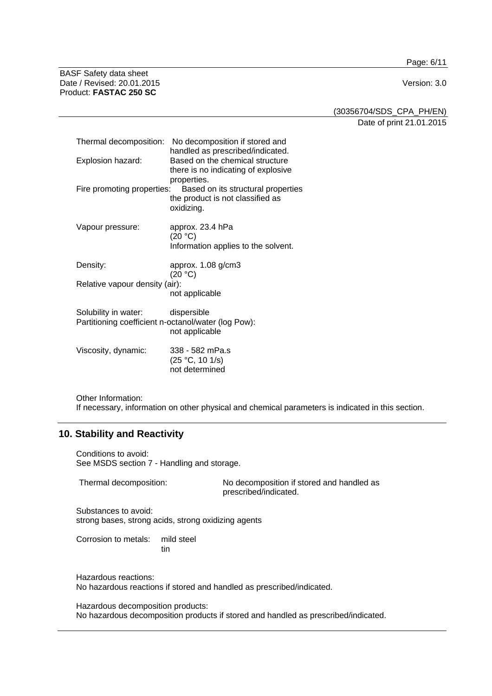Page: 6/11

BASF Safety data sheet Date / Revised: 20.01.2015 Version: 3.0 Product: **FASTAC 250 SC**

(30356704/SDS\_CPA\_PH/EN) Date of print 21.01.2015

| Thermal decomposition:<br>Explosion hazard:                                 | No decomposition if stored and<br>handled as prescribed/indicated.<br>Based on the chemical structure<br>there is no indicating of explosive<br>properties. |
|-----------------------------------------------------------------------------|-------------------------------------------------------------------------------------------------------------------------------------------------------------|
| Fire promoting properties:                                                  | Based on its structural properties<br>the product is not classified as<br>oxidizing.                                                                        |
| Vapour pressure:                                                            | approx. 23.4 hPa<br>(20 °C)<br>Information applies to the solvent.                                                                                          |
| Density:                                                                    | approx. 1.08 g/cm3<br>(20 °C)                                                                                                                               |
| Relative vapour density (air):                                              | not applicable                                                                                                                                              |
| Solubility in water:<br>Partitioning coefficient n-octanol/water (log Pow): | dispersible<br>not applicable                                                                                                                               |
| Viscosity, dynamic:                                                         | 338 - 582 mPa.s<br>(25 °C, 10 1/s)<br>not determined                                                                                                        |

Other Information: If necessary, information on other physical and chemical parameters is indicated in this section.

# **10. Stability and Reactivity**

Conditions to avoid: See MSDS section 7 - Handling and storage.

Thermal decomposition: No decomposition if stored and handled as prescribed/indicated.

Substances to avoid: strong bases, strong acids, strong oxidizing agents

Corrosion to metals: mild steel tin

Hazardous reactions: No hazardous reactions if stored and handled as prescribed/indicated.

Hazardous decomposition products: No hazardous decomposition products if stored and handled as prescribed/indicated.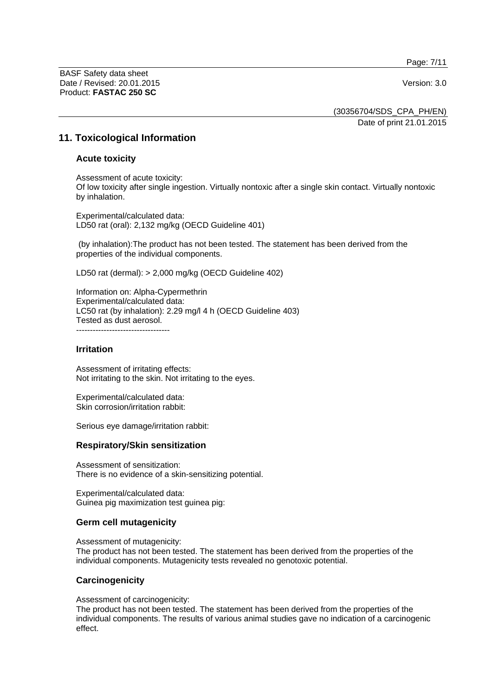Page: 7/11

BASF Safety data sheet Date / Revised: 20.01.2015 Version: 3.0 Product: **FASTAC 250 SC**

(30356704/SDS\_CPA\_PH/EN) Date of print 21.01.2015

# **11. Toxicological Information**

#### **Acute toxicity**

Assessment of acute toxicity: Of low toxicity after single ingestion. Virtually nontoxic after a single skin contact. Virtually nontoxic by inhalation.

Experimental/calculated data: LD50 rat (oral): 2,132 mg/kg (OECD Guideline 401)

 (by inhalation):The product has not been tested. The statement has been derived from the properties of the individual components.

LD50 rat (dermal): > 2,000 mg/kg (OECD Guideline 402)

Information on: Alpha-Cypermethrin Experimental/calculated data: LC50 rat (by inhalation): 2.29 mg/l 4 h (OECD Guideline 403) Tested as dust aerosol. ----------------------------------

#### **Irritation**

Assessment of irritating effects: Not irritating to the skin. Not irritating to the eyes.

Experimental/calculated data: Skin corrosion/irritation rabbit:

Serious eye damage/irritation rabbit:

#### **Respiratory/Skin sensitization**

Assessment of sensitization: There is no evidence of a skin-sensitizing potential.

Experimental/calculated data: Guinea pig maximization test guinea pig:

#### **Germ cell mutagenicity**

Assessment of mutagenicity:

The product has not been tested. The statement has been derived from the properties of the individual components. Mutagenicity tests revealed no genotoxic potential.

#### **Carcinogenicity**

Assessment of carcinogenicity:

The product has not been tested. The statement has been derived from the properties of the individual components. The results of various animal studies gave no indication of a carcinogenic effect.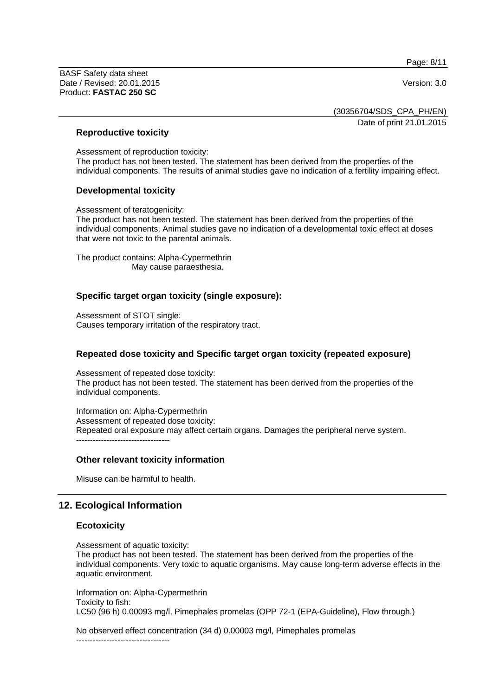Page: 8/11

BASF Safety data sheet Date / Revised: 20.01.2015 Version: 3.0 Product: **FASTAC 250 SC**

(30356704/SDS\_CPA\_PH/EN)

Date of print 21.01.2015

### **Reproductive toxicity**

Assessment of reproduction toxicity: The product has not been tested. The statement has been derived from the properties of the individual components. The results of animal studies gave no indication of a fertility impairing effect.

### **Developmental toxicity**

Assessment of teratogenicity:

The product has not been tested. The statement has been derived from the properties of the individual components. Animal studies gave no indication of a developmental toxic effect at doses that were not toxic to the parental animals.

The product contains: Alpha-Cypermethrin May cause paraesthesia.

# **Specific target organ toxicity (single exposure):**

Assessment of STOT single: Causes temporary irritation of the respiratory tract.

# **Repeated dose toxicity and Specific target organ toxicity (repeated exposure)**

Assessment of repeated dose toxicity: The product has not been tested. The statement has been derived from the properties of the individual components.

Information on: Alpha-Cypermethrin Assessment of repeated dose toxicity: Repeated oral exposure may affect certain organs. Damages the peripheral nerve system. ----------------------------------

### **Other relevant toxicity information**

Misuse can be harmful to health.

# **12. Ecological Information**

#### **Ecotoxicity**

Assessment of aquatic toxicity:

The product has not been tested. The statement has been derived from the properties of the individual components. Very toxic to aquatic organisms. May cause long-term adverse effects in the aquatic environment.

Information on: Alpha-Cypermethrin Toxicity to fish: LC50 (96 h) 0.00093 mg/l, Pimephales promelas (OPP 72-1 (EPA-Guideline), Flow through.)

No observed effect concentration (34 d) 0.00003 mg/l, Pimephales promelas

----------------------------------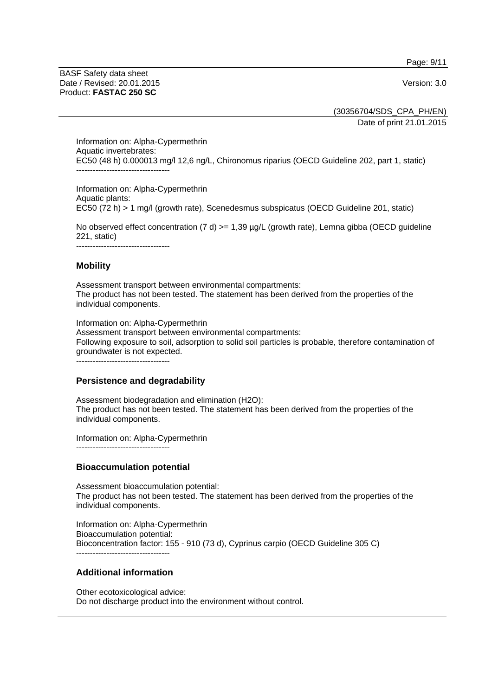Page: 9/11

BASF Safety data sheet Date / Revised: 20.01.2015 Version: 3.0 Product: **FASTAC 250 SC**

(30356704/SDS\_CPA\_PH/EN)

Date of print 21.01.2015

Information on: Alpha-Cypermethrin Aquatic invertebrates: EC50 (48 h) 0.000013 mg/l 12,6 ng/L, Chironomus riparius (OECD Guideline 202, part 1, static) ----------------------------------

Information on: Alpha-Cypermethrin Aquatic plants: EC50 (72 h) > 1 mg/l (growth rate), Scenedesmus subspicatus (OECD Guideline 201, static)

No observed effect concentration (7 d)  $>= 1,39$  µg/L (growth rate), Lemna gibba (OECD guideline 221, static)

----------------------------------

### **Mobility**

Assessment transport between environmental compartments: The product has not been tested. The statement has been derived from the properties of the individual components.

Information on: Alpha-Cypermethrin Assessment transport between environmental compartments: Following exposure to soil, adsorption to solid soil particles is probable, therefore contamination of groundwater is not expected.

----------------------------------

#### **Persistence and degradability**

Assessment biodegradation and elimination (H2O): The product has not been tested. The statement has been derived from the properties of the individual components.

Information on: Alpha-Cypermethrin ----------------------------------

### **Bioaccumulation potential**

Assessment bioaccumulation potential: The product has not been tested. The statement has been derived from the properties of the individual components.

Information on: Alpha-Cypermethrin Bioaccumulation potential: Bioconcentration factor: 155 - 910 (73 d), Cyprinus carpio (OECD Guideline 305 C) ----------------------------------

### **Additional information**

Other ecotoxicological advice: Do not discharge product into the environment without control.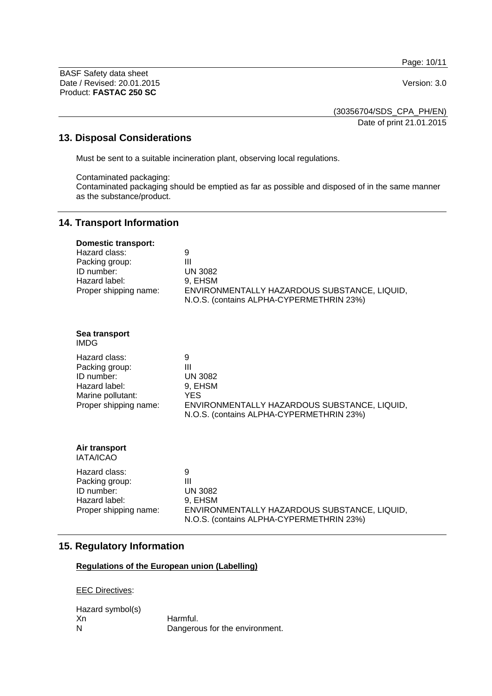Page: 10/11

BASF Safety data sheet Date / Revised: 20.01.2015 Version: 3.0 Product: **FASTAC 250 SC**

(30356704/SDS\_CPA\_PH/EN) Date of print 21.01.2015

# **13. Disposal Considerations**

Must be sent to a suitable incineration plant, observing local regulations.

Contaminated packaging:

Contaminated packaging should be emptied as far as possible and disposed of in the same manner as the substance/product.

# **14. Transport Information**

| <b>Domestic transport:</b><br>Hazard class:<br>Packing group:<br>ID number:<br>Hazard label:<br>Proper shipping name: | 9<br>Ш<br><b>UN 3082</b><br>9, EHSM<br>ENVIRONMENTALLY HAZARDOUS SUBSTANCE, LIQUID,<br>N.O.S. (contains ALPHA-CYPERMETHRIN 23%)                            |
|-----------------------------------------------------------------------------------------------------------------------|------------------------------------------------------------------------------------------------------------------------------------------------------------|
| Sea transport<br><b>IMDG</b>                                                                                          |                                                                                                                                                            |
| Hazard class:<br>Packing group:<br>ID number:<br>Hazard label:<br>Marine pollutant:<br>Proper shipping name:          | 9<br>$\mathbf{III}$<br><b>UN 3082</b><br>9, EHSM<br><b>YES</b><br>ENVIRONMENTALLY HAZARDOUS SUBSTANCE, LIQUID,<br>N.O.S. (contains ALPHA-CYPERMETHRIN 23%) |
| Air transport<br>IATA/ICAO                                                                                            |                                                                                                                                                            |
| Hazard class:<br>Packing group:<br>ID number:<br>Hazard label:<br>Proper shipping name:                               | 9<br>$\mathbf{III}$<br><b>UN 3082</b><br>9, EHSM<br>ENVIRONMENTALLY HAZARDOUS SUBSTANCE, LIQUID,<br>N.O.S. (contains ALPHA-CYPERMETHRIN 23%)               |

### **15. Regulatory Information**

# **Regulations of the European union (Labelling)**

EEC Directives:

Hazard symbol(s)<br>Xn Xn Harmful.<br>N Dangero Dangerous for the environment.